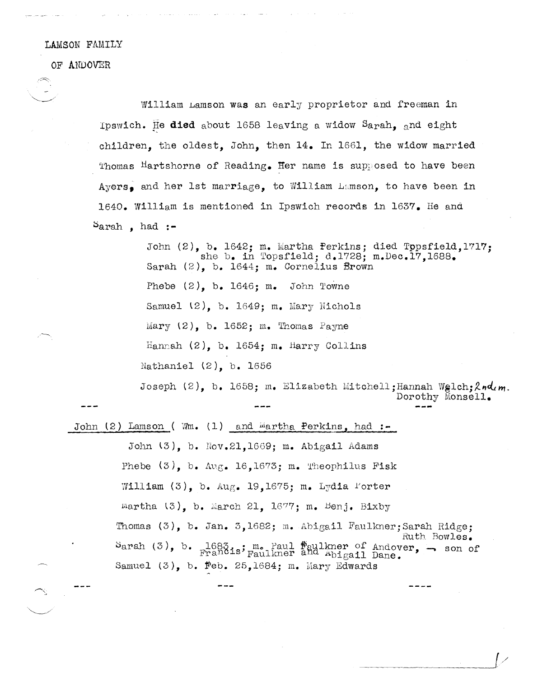## LAMSON FAMILY

OF AWDOVER

 $\sim$  . We set that  $\sim$ 

William Lamson was an early proprietor and freeman in Ipswich. J!e **died** about 1658 leaving a widow Sarah, and eight children, the oldest, John, then 14. In 1661, the widow married Thomas Hartshorne of Reading. Her name is supposed to have been Ayers, and her 1st marriage, to William Lamson, to have been in 1640. William is mentioned in Ipswich records in 1637. He and ::>arah , had **:-**

> John (2), b. 1642; m. Martha Perkins; died Tppsfield,1717; she b. in Topsfield; d.1728; m.Dec.17.1688. Sarah (2), b. 1644; m. Cornelius Brown Phebe  $(2)$ , b. 1646; m. John Towne Samuel  $(2)$ , b. 1649; m. Mary Nichols Mary  $(2)$ , b. 1652; m. Thomas Payne Hannah (2), b. 1654; m. Harry Collins Nathaniel (2), b. 1656 Joseph (2), b. 1658; m. Elizabeth Mitchell; Hannah Welch:  $2nd$ m. Dorothy Monsell.

John (2) Lamson ( Wm. (1) and <sup>ide</sup>artha Perkins, had :-

John  $\{3\}$ , b. Nov.21,1669; m. Abigail Adams Phebe  $(3)$ , b. Aug. 16,1673; m. Theophilus Fisk William  $(3)$ , b. Aug. 19,1675; m. Lydia l'orter  $m$ artha  $(3)$ , b. March 21, 1677; m. Benj. Bixby Thomas (3), b. Jan. 3,1682; m. Abigail Faulkner;Sarah Ridge; Ruth Bowles. Sarah (3), b. 1683:; m. Paul  $_{\rm{Paulkner}}^{\rm{Faulkner}}$  of Andover,  $\rightarrow$  son of Samuel  $(3)$ , b. Feb. 25,1684; m. Mary Edwards

---\_\_\_\_\_ .-1[/